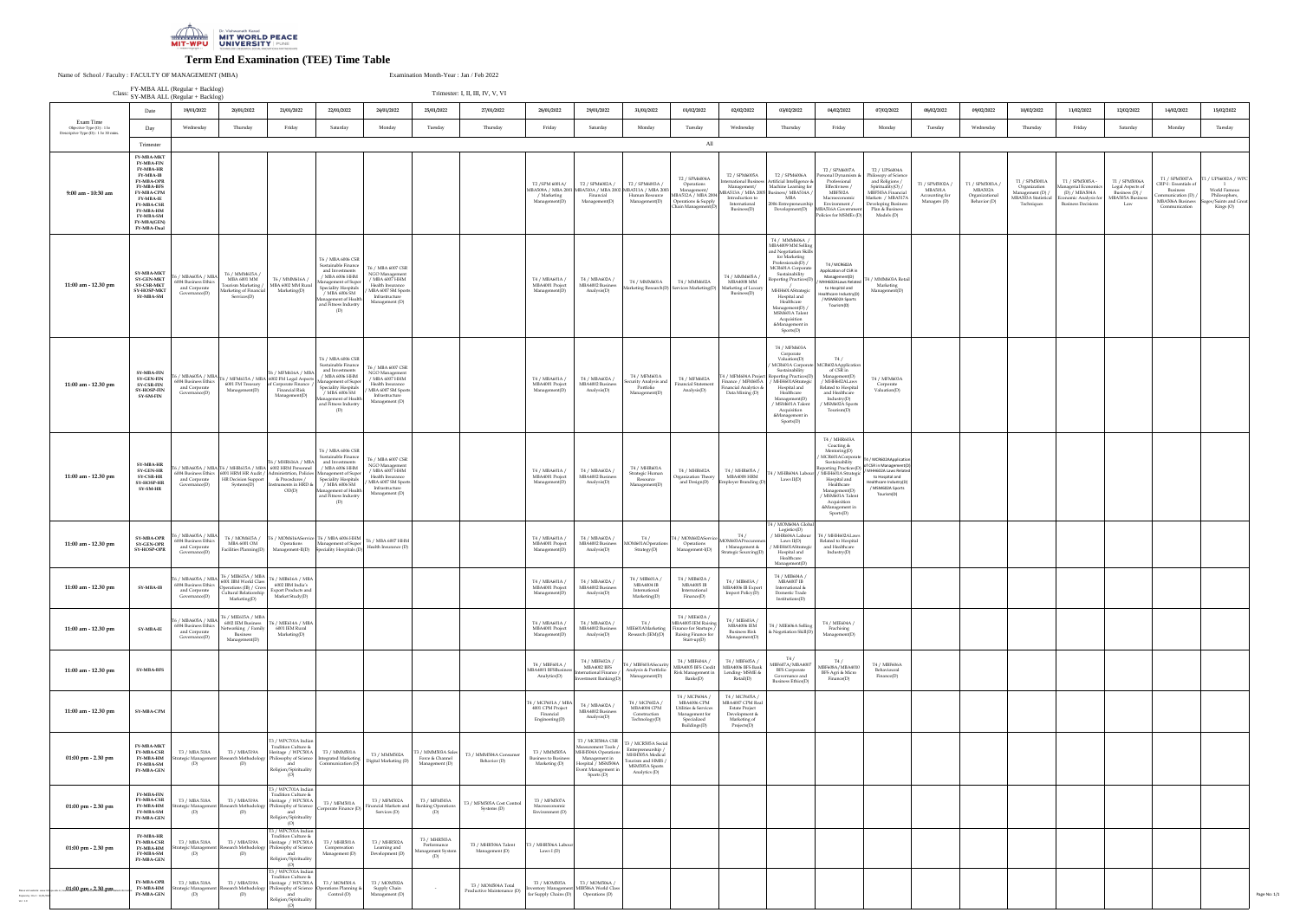|                                                                                                                                           | $\mathbf{1}$ T MD/11 EL (Regular + DaeKrog)                                                                                                                                                                                                                                      | Class: SY-MBA ALL (Regular + Backlog)                                        |                                                                                                      |                                                                                                                                                                     |                                                                                                                                                                                                                                |                                                                                                                                     |                                                         | Trimester: I, II, III, IV, V, VI                 |                                                                                                                                                    |                                                                                                                                       |                                                                                                                   |                                                                                                                                    |                                                                                                                                                          |                                                                                                                                                                                                                                                                                                     |                                                                                                                                                                                                                               |                                                                                                                                                                               |                                                              |                                                              |                                                                                        |                                                                                                         |                                                                                |                                                                                                                     |                                                                                          |
|-------------------------------------------------------------------------------------------------------------------------------------------|----------------------------------------------------------------------------------------------------------------------------------------------------------------------------------------------------------------------------------------------------------------------------------|------------------------------------------------------------------------------|------------------------------------------------------------------------------------------------------|---------------------------------------------------------------------------------------------------------------------------------------------------------------------|--------------------------------------------------------------------------------------------------------------------------------------------------------------------------------------------------------------------------------|-------------------------------------------------------------------------------------------------------------------------------------|---------------------------------------------------------|--------------------------------------------------|----------------------------------------------------------------------------------------------------------------------------------------------------|---------------------------------------------------------------------------------------------------------------------------------------|-------------------------------------------------------------------------------------------------------------------|------------------------------------------------------------------------------------------------------------------------------------|----------------------------------------------------------------------------------------------------------------------------------------------------------|-----------------------------------------------------------------------------------------------------------------------------------------------------------------------------------------------------------------------------------------------------------------------------------------------------|-------------------------------------------------------------------------------------------------------------------------------------------------------------------------------------------------------------------------------|-------------------------------------------------------------------------------------------------------------------------------------------------------------------------------|--------------------------------------------------------------|--------------------------------------------------------------|----------------------------------------------------------------------------------------|---------------------------------------------------------------------------------------------------------|--------------------------------------------------------------------------------|---------------------------------------------------------------------------------------------------------------------|------------------------------------------------------------------------------------------|
|                                                                                                                                           | Date                                                                                                                                                                                                                                                                             | 19/01/2022                                                                   | 20/01/2022                                                                                           | 21/01/2022                                                                                                                                                          | 22/01/2022                                                                                                                                                                                                                     | 24/01/2022                                                                                                                          | 25/01/2022                                              | 27/01/2022                                       | 28/01/2022                                                                                                                                         | 29/01/2022                                                                                                                            | 31/01/2022                                                                                                        | 01/02/2022                                                                                                                         | 02/02/2022                                                                                                                                               | 03/02/2022                                                                                                                                                                                                                                                                                          | 04/02/2022                                                                                                                                                                                                                    | 07/02/2022                                                                                                                                                                    | 08/02/2022                                                   | 09/02/2022                                                   | 10/02/2022                                                                             | 11/02/2022                                                                                              | 12/02/2022                                                                     | 14/02/2022                                                                                                          | 15/02/2022                                                                               |
| Exam Time<br>Objective Type (O) : 1 hr<br>Descriptive Type (D) : 1 hr 30 mins.                                                            | Day                                                                                                                                                                                                                                                                              | Wednesday                                                                    | Thursday                                                                                             | Friday                                                                                                                                                              | Saturday                                                                                                                                                                                                                       | Monday                                                                                                                              | Tuesday                                                 | Thursday                                         | Friday                                                                                                                                             | Saturday                                                                                                                              | Monday                                                                                                            | Tuesday                                                                                                                            | Wednesday                                                                                                                                                | Thursday                                                                                                                                                                                                                                                                                            | Friday                                                                                                                                                                                                                        | Monday                                                                                                                                                                        | Tuesday                                                      | Wednesday                                                    | Thursday                                                                               | Friday                                                                                                  | Saturday                                                                       | Monday                                                                                                              | Tuesday                                                                                  |
| 9:00 am - 10:30 am                                                                                                                        | Trimester<br><b>FY-MBA-MKT</b><br><b>FY-MBA-FIN</b><br><b>FY-MBA-HR</b><br><b>FY-MBA-IB</b><br><b>FY-MBA-OPR</b><br><b>FY-MBA-BFS</b><br><b>FY-MBA-CPM</b><br><b>FY-MBA-IE</b><br><b>FY-MBA-CSR</b><br><b>FY-MBA-HM</b><br><b>FY-MBA-SM</b><br><b>FY-MBA(GEN)</b><br>FY-MBA-Dual |                                                                              |                                                                                                      |                                                                                                                                                                     |                                                                                                                                                                                                                                |                                                                                                                                     |                                                         |                                                  | T2 / SPM 6001A/<br>/ Marketing<br>Management( $D$ )                                                                                                | T <sub>2</sub> / SPM6002A /<br>MBA509A / MBA 2001 MBA510A / MBA 200<br>Financial<br>Management(D)                                     | T2 / SPM6003A /<br>2 MBA511A / MBA 2003<br>Human Resource<br>Management(D)                                        | All<br>T2 / SPM6004A<br>Operations<br>Management<br>MBA512A / MBA 200<br>  Operations & Supply<br>Chain Management(D               | T2 / SPM6005A<br><b>International Business</b><br>Management/<br>MBA513A / MBA 2005 Business/ MBA514A<br>Introduction to<br>International<br>Business(D) | T2 / SPM6006A<br>Artificial Intelligence<br>$\blacksquare$ Machine Learning fr<br>MBA<br>2006 Entrepreneursl<br>Development(D)                                                                                                                                                                      | T2 / SPM6007A<br>Personal Dynamism &<br>Professional<br>Effectivness<br>MBF502A<br>Macroeconomic<br>Environment<br><b>MBA516A Governmer</b><br>Policies for MSMEs (D)                                                         | T2 / UPS6004A<br>Philosopy of Science<br>and Religions<br>Spirituality(O) /<br>MBF503A Financial<br>Markets / MBA517<br>Developing Business<br>Plan & Business<br>Models (D)  | T1 / SPM5002A /<br>MBA501A<br>Accounting for<br>Managers (D) | T1 / SPM5003A /<br>MBA502A<br>Organizational<br>Behavior (D) | T1 / SPM5001A<br>Organization<br>Management (D) /<br>MBA503A Statistical<br>Techniques | T1 / SPM5005A<br>Managerial Economics<br>(D) / MBA504A<br>conomic Analysis<br><b>Business Decisions</b> | T1 / SPM5006A<br>Legal Aspects of<br>Business (D) /<br>MBA505A Business<br>Law | T1 / SPM5007A<br>CRP-I : Essentials of<br><b>Business</b><br>Communication (D)<br>MBA506A Business<br>Communication | / UPS6002A / WPC<br>World Famous<br>Philosophers,<br>Sages/Saints and Great<br>Kings (O) |
| 11:00 am - 12.30 pm                                                                                                                       | SY-MBA-MKT<br><b>SY-GEN-MKT</b><br><b>SY-CSR-MKT</b><br>SY-HOSP-MKT<br>SY-MBA-SM                                                                                                                                                                                                 | T6 / MBA605A / MBA<br>6004 Business Ethics<br>and Corporate<br>Governance(D) | T6 / MMM615A /<br><b>MBA 6001 MM</b><br>Tourism Marketing /<br>Marketing of Financial<br>Services(D) | T6 / MMM616A /<br>MBA 6002 MM Rural<br>Marketing(D)                                                                                                                 | T6 / MBA 6006 CSR<br>  Sustainable Finance   T6 / MBA 6007 CSR  <br>and Investments<br>$/$ MBA 6006 HHM<br>Management of Super<br>Speciality Hospitals<br>/ MBA 6006 SM<br>Management of Health<br>and Fitness Industry<br>(D) | NGO Management<br>/ MBA 6007 HHM<br>Health Insurance<br>MBA 6007 SM Sports<br>Infrastructure<br>Management (D)                      |                                                         |                                                  | T4 / MBA601A /<br>MBA4001 Project<br>Management(D)                                                                                                 | T4 / MBA602A /<br>MBA4002 Business<br>Analysis(D)                                                                                     | T4 / MMM601A                                                                                                      | T4 / MMM602A<br>Marketing Research(D) Services Marketing(D)                                                                        | T4 / MMM605A /<br><b>MBA4008 MM</b><br>Marketing of Luxury<br>Business(D)                                                                                | T4 / MMM606A<br>MBA4009 MM Sellin<br>and Negotiation Skill<br>for Marketing<br>Professionals(D)<br>MCR601A Corporate<br>Sustainability<br>Reporting Practices(D)<br>MHH601AStrategic<br>Hospital and<br>Healthcare<br>Management(D)<br>MSM601A Talent<br>Acquisition<br>&Management in<br>Sports(D) | T4 / MCR602A<br>Application of CSR in<br>Management(D)<br>MHH602ALaws Related<br>to Hospital and<br>Healthcare Industry(D)<br>/ MSM602A Sports<br>Tourism(D)                                                                  | 4 / MMM603A Retail<br>Marketing<br>Management(D)                                                                                                                              |                                                              |                                                              |                                                                                        |                                                                                                         |                                                                                |                                                                                                                     |                                                                                          |
| 11:00 am - 12.30 pm                                                                                                                       | <b>SY-MBA-FIN</b><br><b>SY-GEN-FIN</b><br><b>SY-CSR-FIN</b><br>SY-HOSP-FIN<br><b>SY-SM-FIN</b>                                                                                                                                                                                   | 6 / MBA605A / MBA<br>6004 Business Ethics<br>and Corporate<br>Governance(D)  | 6001 FM Treasury<br>Management(D)                                                                    | T6 / MFM616A / MBA<br>5 / MFM615A / MBA 6002 FM Legal Aspects'<br>10f Corporate Finance<br><b>Financial Risk</b><br>Management(D)                                   | T6 / MBA 6006 CSR<br>Sustainable Finance<br>and Investments<br>$\prime$ MBA 6006 HHM<br>Ianagement of Super<br><b>Speciality Hospitals</b><br>/ MBA 6006 SM<br>lanagement of Health<br>and Fitness Industry<br>(D)             | T6 / MBA 6007 CSR<br>NGO Management<br>/ MBA 6007 HHM<br>Health Insurance<br>MBA 6007 SM Sports<br>Infrastructure<br>Management (D) |                                                         |                                                  | T4 / MBA601A /<br>MBA4001 Project<br>Management(D)                                                                                                 | T4 / MBA602A /<br>MBA4002 Business<br>Analysis(D)                                                                                     | T4 / MFM601A<br>Security Analysis and<br>Portfolio<br>Management(D)                                               | T4 / MFM602A<br><b>Financial Statement</b><br>Analysis(D)                                                                          | Finance / MFM605A<br>Financial Analytics &<br>Data Mining (D)                                                                                            | T4 / MFM603A<br>Corporate<br>Valuation(D)<br>MCR601A Corporate<br>Sustainability<br>  T4 / MFM604A Project   Reporting Practices(L<br>/ MHH601AStrateg<br>Hospital and<br>Healthcare<br>$M$ anagement $(D)$<br>/ MSM601A Talent<br>Acquisition<br>&Management in<br>Sports(D)                       | T4/<br>MCR602AApplication<br>of CSR in<br>Management(D)<br>/ MHH602ALaws<br>Related to Hospital<br>and Healthcare<br>Industry $(D)$<br>/ MSM602A Sports<br>Tourism $(D)$                                                      | T4 / MFM603A<br>Corporate<br>Valuation(D)                                                                                                                                     |                                                              |                                                              |                                                                                        |                                                                                                         |                                                                                |                                                                                                                     |                                                                                          |
| 11:00 am - 12.30 pm                                                                                                                       | <b>SY-MBA-HR</b><br><b>SY-GEN-HR</b><br><b>SY-CSR-HR</b><br><b>SY-HOSP-HR</b><br>SY-SM-HR                                                                                                                                                                                        | 6004 Business Ethics<br>and Corporate<br>Governance(D)                       | 6001 HRM HR Audit /<br><b>HR Decision Support</b><br>Systems(D)                                      | T6 / MHR616A / MBA<br>5 / MBA605A / MBA T6 / MHR615A / MBA 6002 HRM Personnel<br>& Procedures /<br>Instruments in HRD &<br>OD(D)                                    | T6 / MBA 6006 CSR<br>Sustainable Finance<br>and Investments<br>/ MBA 6006 HHM<br>Ianagement of Super<br><b>Speciality Hospitals</b><br>/ MBA 6006 SM<br>anagement of Health<br>and Fitness Industry<br>(D)                     | T6 / MBA 6007 CSR<br>NGO Management<br>/ MBA 6007 HHM<br>Health Insurance<br>MBA 6007 SM Sports<br>Infrastructure<br>Management (D) |                                                         |                                                  | T4 / MBA601A /<br>MBA4001 Project<br>Management(D)                                                                                                 | T4 / MBA602A /<br>MBA4002 Business<br>Analysis(D)                                                                                     | T4 / MHR601A<br>Strategic Human<br>Resource<br>Management(D)                                                      | T4 / MHR602A<br><b>Organization Theory</b><br>and Design(D)                                                                        | T4 / MHR605A /<br>MBA4008 HRM<br>Employer Branding (D)                                                                                                   | T4 / MHR604A Labou<br>Laws $II(D)$                                                                                                                                                                                                                                                                  | T4 / MHR603A<br>Coacting &<br>Mentoring(D)<br>Sustainabilit<br>Reporting Practices(D)<br>/ MHH601A Strategic<br>Hospital and<br>Healthcare<br>Management(D)<br>/ MSM601A Talent<br>Acquisition<br>&Management in<br>Sports(D) | / MCR601ACorporate   T4 / MCR602AApplication<br>of CSR in Management<br>/ MHH602A Laws Related<br>to Hospital and<br>Healthcare Industry(D)<br>/ MSM602A Sports<br>Tourism(D) |                                                              |                                                              |                                                                                        |                                                                                                         |                                                                                |                                                                                                                     |                                                                                          |
| 11:00 am - 12.30 pm                                                                                                                       | <b>SY-MBA-OPR</b><br>SY-GEN-OPR<br><b>SY-HOSP-OPR</b>                                                                                                                                                                                                                            | T6 / MBA605A / MBA<br>6004 Business Ethics<br>and Corporate<br>Governance(D) | T6 / MOM615A /<br>MBA 6001 OM<br>Facilities Planning(D)                                              | T6 / MOM616AService<br>Operations<br>Management-II(D)                                                                                                               | T6 / MBA 6006 HHM<br>Management of Super<br>Speciality Hospitals (D)                                                                                                                                                           | T6 / MBA 6007 HHM<br>Health Insurance (D)                                                                                           |                                                         |                                                  | T4 / MBA601A<br>MBA4001 Project<br>Management(I                                                                                                    | T4 / MBA602A /<br>MBA4002 Business<br>Analysis(D)                                                                                     | T4/<br>MOM601AOperations<br>Strategy(D)                                                                           | T4 / MOM602AService<br>Operations<br>Management-I(D)                                                                               | T4/<br>MOM603AProcuremen<br>t Management &<br>Strategic Sourcing(D)                                                                                      | 4 / MOM604A Global<br>Logistics(D)<br>/ MHR604A Labour<br>Laws $II(D)$<br>/ MHH601AStrateg<br>Hospital and<br>Healthcare<br>Management(D)                                                                                                                                                           | T4 / MHH602ALaws<br>Related to Hospital<br>and Healthcare<br>Industry $(D)$                                                                                                                                                   |                                                                                                                                                                               |                                                              |                                                              |                                                                                        |                                                                                                         |                                                                                |                                                                                                                     |                                                                                          |
| 11:00 am - 12.30 pm                                                                                                                       | <b>SY-MBA-IB</b>                                                                                                                                                                                                                                                                 | 6004 Business Ethics<br>and Corporate<br>Governance(D)                       | 6001 IBM World Class<br>Operations (IB) / Cross<br>Cultural Relationship<br>Marketing(D)             | T6 / MBA605A / MBA $T6$ / MIB615A / MBA $T6$ / MIB616A / MBA<br>6002 IBM India's<br><b>Export Products and</b><br>Market Study(D)                                   |                                                                                                                                                                                                                                |                                                                                                                                     |                                                         |                                                  | T4 / MBA601A /<br>MBA4001 Project<br>Management(D                                                                                                  | T4 / MBA602A /<br>MBA4002 Business<br>Analysis(D)                                                                                     | T4 / MIB601A /<br>MBA4004 IB<br>International<br>Marketing(D)                                                     | T4 / MIB602A /<br><b>MBA4005 IB</b><br>Internationa<br>Finance(D)                                                                  | T4 / MIB603A /<br>MBA4006 IB Export<br>Import Policy(D)                                                                                                  | T4 / MIB604A /<br>MBA4007 IB<br>International &<br>Domestic Trade<br>Institutions(D)                                                                                                                                                                                                                |                                                                                                                                                                                                                               |                                                                                                                                                                               |                                                              |                                                              |                                                                                        |                                                                                                         |                                                                                |                                                                                                                     |                                                                                          |
| 11:00 am - 12.30 pm                                                                                                                       | <b>SY-MBA-IE</b>                                                                                                                                                                                                                                                                 | T6 / MBA605A / MBA<br>6004 Business Ethics<br>and Corporate<br>Governance(D) | T6 / MIE615A / MBA<br>6002 IEM Business<br>Networking / Family<br><b>Business</b><br>Management(D)   | T6 / MIE614A / MBA<br>6001 IEM Rural<br>Marketing(D)                                                                                                                |                                                                                                                                                                                                                                |                                                                                                                                     |                                                         |                                                  | T4 / MBA601A<br>MBA4001 Project<br>Management(D)                                                                                                   | T4 / MBA602A /<br>MBA4002 Business<br>Analysis(D)                                                                                     | T4/<br>MIE601AMarketing                                                                                           | T4 / MIE602A /<br>MBA4005 IEM Raising<br><b>Finance for Startups</b><br>Research $(IEM)(D)$   Raising Finance for<br>$Start-up(D)$ | T4 / MIE603A /<br>MBA4006 IEM<br><b>Business Risk</b><br>Management(D)                                                                                   | T4 / MIE606A Selling<br>& Negotiation Skill(D)                                                                                                                                                                                                                                                      | T4 / MIE604A /<br>Frachising<br>Management(D)                                                                                                                                                                                 |                                                                                                                                                                               |                                                              |                                                              |                                                                                        |                                                                                                         |                                                                                |                                                                                                                     |                                                                                          |
| 11:00 am - 12.30 pm                                                                                                                       | SY-MBA-BFS                                                                                                                                                                                                                                                                       |                                                                              |                                                                                                      |                                                                                                                                                                     |                                                                                                                                                                                                                                |                                                                                                                                     |                                                         |                                                  | T4 / MBF601A / $\,$<br>MBA4001 BFSBusiness<br>Analytics(D)                                                                                         | T4 / MBF602A /<br><b>MBA4002 BFS</b><br>International Finance<br>Investment Banking(D)                                                | T4 / MBF603ASecurity<br>Analysis & Portfolio<br>Management(D)                                                     | T4 / MBF604A /<br>MBA4005 BFS Credit<br><sup>1</sup> Risk Management in<br>Banks(D)                                                | T4 / MBF605A /<br>MBA4006 BFS Bank<br>Lending-MSME<br>Retail(D)                                                                                          | T4/<br>MBF607A/MBA4007<br><b>BFS Corporate</b><br>Governance and<br>Business Ethics(D)                                                                                                                                                                                                              | T4/<br>MBF608A/MBA4010<br>BFS Agri & Micro<br>Finance(D)                                                                                                                                                                      | T4 / MBF606A<br>Behavioural<br>Finance(D)                                                                                                                                     |                                                              |                                                              |                                                                                        |                                                                                                         |                                                                                |                                                                                                                     |                                                                                          |
| 11:00 am - 12.30 pm                                                                                                                       | <b>SY-MBA-CPM</b>                                                                                                                                                                                                                                                                |                                                                              |                                                                                                      |                                                                                                                                                                     |                                                                                                                                                                                                                                |                                                                                                                                     |                                                         |                                                  | $\begin{array}{ l l } \hline \text{TA} & \text{MCP601A} & \text{MBA} \\ \hline \text{4001 CPM Project} \end{array}$<br>Financial<br>Engineering(D) | T4 / MBA602A /<br>MBA4002 Business<br>Analysis(D)                                                                                     | T4 / MCP602A /<br>MBA4004 CPM<br>Construction<br>Technology(D)                                                    | T4 / MCP604A<br>MBA4006 CPM<br>Utilities & Services<br>Management for<br>Specialized<br>Buildings(D)                               | T4 / MCP605A /<br>MBA4007 CPM Real<br><b>Estate Project</b><br>Development &<br>Marketing of<br>Projects(D)                                              |                                                                                                                                                                                                                                                                                                     |                                                                                                                                                                                                                               |                                                                                                                                                                               |                                                              |                                                              |                                                                                        |                                                                                                         |                                                                                |                                                                                                                     |                                                                                          |
| 01:00 pm - 2.30 pm                                                                                                                        | <b>FY-MBA-MKT</b><br><b>FY-MBA-CSR</b><br><b>FY-MBA-HM</b><br><b>FY-MBA-SM</b><br><b>FY-MBA-GEN</b>                                                                                                                                                                              | T3 / MBA 518A<br>Strategic Managen<br>(D)                                    | T3 / MBA519A<br>Research Methodology<br>(D)                                                          | T3 / WPC701A Indian<br>Tradition Culture &<br>Heritage / WPC501A<br>$\cdot$   Philosophy of Science $_1$<br>and<br>Religion/Spirituality<br>(O)                     | T3 / MMM501A<br>Integrated Marketing<br>Communication $(D)$                                                                                                                                                                    | T3 / MMM502A<br>Digital Marketing (D)                                                                                               | 3 / MMM503A Sales<br>Force & Channel<br>Management (D)  | T3 / MMM504A Consumer<br>Behavior (D)            | T3 / MMM505A<br><b>Business to Business</b><br>Marketing (D)                                                                                       | T3 / MCR504A CS<br>Measurement Tools<br>MHH504A Operations<br>Management ir<br>Hospital / MSM504A<br>Event Management "<br>Sports (D) | T3 / MCR505A Social<br>Entrepreneurship<br>MHH505A Medical<br>Tourism and HMIS<br>MSM505A Sports<br>Analytics (D) |                                                                                                                                    |                                                                                                                                                          |                                                                                                                                                                                                                                                                                                     |                                                                                                                                                                                                                               |                                                                                                                                                                               |                                                              |                                                              |                                                                                        |                                                                                                         |                                                                                |                                                                                                                     |                                                                                          |
| $01:00 \text{ pm}$ - 2.30 pm                                                                                                              | <b>FY-MBA-FIN</b><br><b>FY-MBA-CSR</b><br><b>FY-MBA-HM</b><br><b>FY-MBA-SM</b><br><b>FY-MBA-GEN</b>                                                                                                                                                                              | T3 / MBA 518A<br><b>Strategic Management</b><br>(D)                          | (D)                                                                                                  | T3 / WPC701A Indian<br>Tradition Culture &<br>T3 / MBA519A Heritage / WPC501A<br>Research Methodology Philosophy of Science<br>and<br>Religion/Spirituality<br>(O)  | T3 / MFM501A<br>Corporate Finance (D)                                                                                                                                                                                          | T3 / MFM502A<br>Financial Markets and<br>Services (D)                                                                               | T3 / MFM503A<br><b>Banking Operations</b><br>(D)        | T3 / MFM505A Cost Control<br>Systems (D)         | T3 / MFM507A<br>Macroeconomic<br>Environment (D)                                                                                                   |                                                                                                                                       |                                                                                                                   |                                                                                                                                    |                                                                                                                                                          |                                                                                                                                                                                                                                                                                                     |                                                                                                                                                                                                                               |                                                                                                                                                                               |                                                              |                                                              |                                                                                        |                                                                                                         |                                                                                |                                                                                                                     |                                                                                          |
| $01:00 \text{ pm}$ - 2.30 pm                                                                                                              | <b>FY-MBA-HR</b><br><b>FY-MBA-CSR</b><br><b>FY-MBA-HM</b><br><b>FY-MBA-SM</b><br><b>FY-MBA-GEN</b>                                                                                                                                                                               | T3 / MBA 518A<br>Strategic Management<br>(D)                                 | T3 / MBA519A<br>(D)                                                                                  | T <sub>3</sub> / WPC701A Indian<br>Tradition Culture &<br>Heritage / WPC501A<br>Research Methodology Philosophy of Science<br>and<br>  Religion/Spirituality<br>(O) | T3 / MHR501A<br>Compensation<br>Management (D)                                                                                                                                                                                 | T3 / MHR502A<br>Learning and<br>Development (D)                                                                                     | T3 / MHR503A<br>Performance<br>Management System<br>(D) | T3 / MHR504A Talent<br>Management (D)            | / MHR506A Labour<br>Laws I $(D)$                                                                                                                   |                                                                                                                                       |                                                                                                                   |                                                                                                                                    |                                                                                                                                                          |                                                                                                                                                                                                                                                                                                     |                                                                                                                                                                                                                               |                                                                                                                                                                               |                                                              |                                                              |                                                                                        |                                                                                                         |                                                                                |                                                                                                                     |                                                                                          |
| examination for require the dates and examination related info<br>Please visit website : www.<br>Prepare by: Div II: 11/01/20<br>Ver: 1.0 | <b>FY-MBA-OPR</b><br><b>FY-MBA-HM</b><br><b>FY-MBA-GEN</b>                                                                                                                                                                                                                       | T3 / MBA 518A<br><b>Strategic Managem</b><br>(D)                             | T3 / MBA519A<br>(D)                                                                                  | T3 / WPC701A Indian<br>Tradition Culture &<br>Heritage / WPC501A<br>Research Methodology   Philosophy of Science<br>and<br>Religion/Spirituality                    | T3 / MOM501A<br>perations Planning<br>Control (D)                                                                                                                                                                              | T3 / MOM502A<br>Supply Chain<br>Management (D)                                                                                      | $\sim$                                                  | T3 / MOM504A Total<br>Productive Maintenance (D) | T3 / MOM505A<br>for Supply Chains $(D)$                                                                                                            | T3 / MOM506A /<br>Inventory Management MIB506A World Class<br>Operations (D)                                                          |                                                                                                                   |                                                                                                                                    |                                                                                                                                                          |                                                                                                                                                                                                                                                                                                     |                                                                                                                                                                                                                               |                                                                                                                                                                               |                                                              |                                                              |                                                                                        |                                                                                                         |                                                                                |                                                                                                                     |                                                                                          |



# **Term End Examination (TEE) Time Table**

Name of School / Faculty : FACULTY OF MANAGEMENT (MBA) Examination Month-Year : Jan / Feb 2022

FY-MBA ALL (Regular + Backlog)

Page No: 1/1